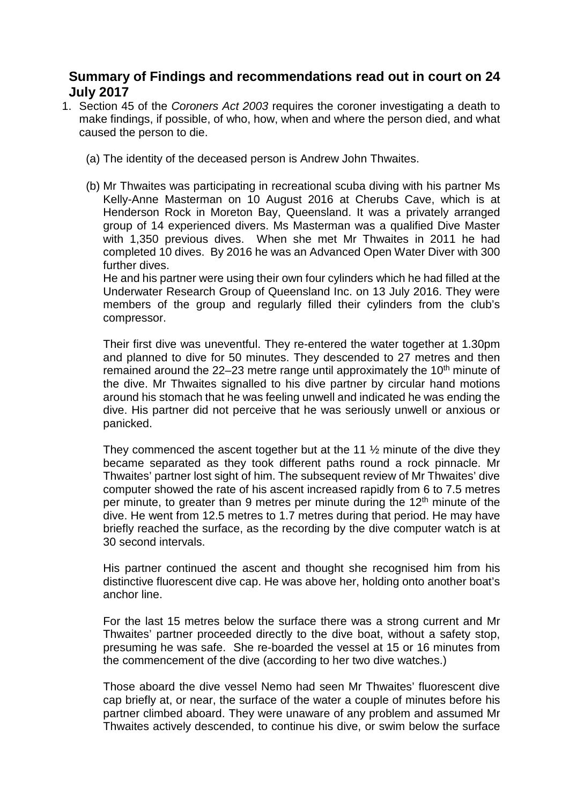## **Summary of Findings and recommendations read out in court on 24 July 2017**

- 1. Section 45 of the *Coroners Act 2003* requires the coroner investigating a death to make findings, if possible, of who, how, when and where the person died, and what caused the person to die.
	- (a) The identity of the deceased person is Andrew John Thwaites.
	- (b) Mr Thwaites was participating in recreational scuba diving with his partner Ms Kelly-Anne Masterman on 10 August 2016 at Cherubs Cave, which is at Henderson Rock in Moreton Bay, Queensland. It was a privately arranged group of 14 experienced divers. Ms Masterman was a qualified Dive Master with 1,350 previous dives. When she met Mr Thwaites in 2011 he had completed 10 dives. By 2016 he was an Advanced Open Water Diver with 300 further dives.

He and his partner were using their own four cylinders which he had filled at the Underwater Research Group of Queensland Inc. on 13 July 2016. They were members of the group and regularly filled their cylinders from the club's compressor.

Their first dive was uneventful. They re-entered the water together at 1.30pm and planned to dive for 50 minutes. They descended to 27 metres and then remained around the  $22-23$  metre range until approximately the  $10<sup>th</sup>$  minute of the dive. Mr Thwaites signalled to his dive partner by circular hand motions around his stomach that he was feeling unwell and indicated he was ending the dive. His partner did not perceive that he was seriously unwell or anxious or panicked.

They commenced the ascent together but at the 11  $\frac{1}{2}$  minute of the dive they became separated as they took different paths round a rock pinnacle. Mr Thwaites' partner lost sight of him. The subsequent review of Mr Thwaites' dive computer showed the rate of his ascent increased rapidly from 6 to 7.5 metres per minute, to greater than 9 metres per minute during the 12<sup>th</sup> minute of the dive. He went from 12.5 metres to 1.7 metres during that period. He may have briefly reached the surface, as the recording by the dive computer watch is at 30 second intervals.

His partner continued the ascent and thought she recognised him from his distinctive fluorescent dive cap. He was above her, holding onto another boat's anchor line.

For the last 15 metres below the surface there was a strong current and Mr Thwaites' partner proceeded directly to the dive boat, without a safety stop, presuming he was safe. She re-boarded the vessel at 15 or 16 minutes from the commencement of the dive (according to her two dive watches.)

Those aboard the dive vessel Nemo had seen Mr Thwaites' fluorescent dive cap briefly at, or near, the surface of the water a couple of minutes before his partner climbed aboard. They were unaware of any problem and assumed Mr Thwaites actively descended, to continue his dive, or swim below the surface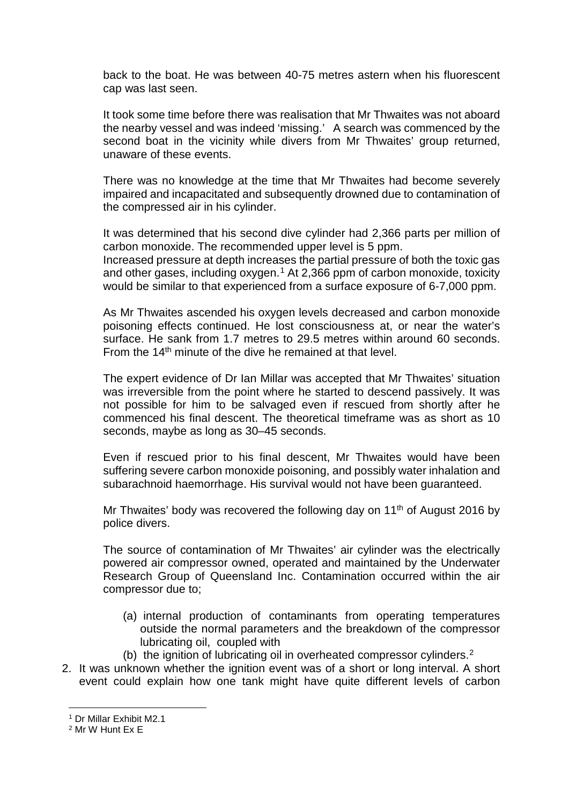back to the boat. He was between 40-75 metres astern when his fluorescent cap was last seen.

It took some time before there was realisation that Mr Thwaites was not aboard the nearby vessel and was indeed 'missing.' A search was commenced by the second boat in the vicinity while divers from Mr Thwaites' group returned, unaware of these events.

There was no knowledge at the time that Mr Thwaites had become severely impaired and incapacitated and subsequently drowned due to contamination of the compressed air in his cylinder.

It was determined that his second dive cylinder had 2,366 parts per million of carbon monoxide. The recommended upper level is 5 ppm.

Increased pressure at depth increases the partial pressure of both the toxic gas and other gases, including oxygen.<sup>[1](#page-1-0)</sup> At 2,366 ppm of carbon monoxide, toxicity would be similar to that experienced from a surface exposure of 6-7,000 ppm.

As Mr Thwaites ascended his oxygen levels decreased and carbon monoxide poisoning effects continued. He lost consciousness at, or near the water's surface. He sank from 1.7 metres to 29.5 metres within around 60 seconds. From the 14th minute of the dive he remained at that level.

The expert evidence of Dr Ian Millar was accepted that Mr Thwaites' situation was irreversible from the point where he started to descend passively. It was not possible for him to be salvaged even if rescued from shortly after he commenced his final descent. The theoretical timeframe was as short as 10 seconds, maybe as long as 30–45 seconds.

Even if rescued prior to his final descent, Mr Thwaites would have been suffering severe carbon monoxide poisoning, and possibly water inhalation and subarachnoid haemorrhage. His survival would not have been guaranteed.

Mr Thwaites' body was recovered the following day on 11<sup>th</sup> of August 2016 by police divers.

The source of contamination of Mr Thwaites' air cylinder was the electrically powered air compressor owned, operated and maintained by the Underwater Research Group of Queensland Inc. Contamination occurred within the air compressor due to;

- (a) internal production of contaminants from operating temperatures outside the normal parameters and the breakdown of the compressor lubricating oil, coupled with
- (b) the ignition of lubricating oil in overheated compressor cylinders.[2](#page-1-1)
- 2. It was unknown whether the ignition event was of a short or long interval. A short event could explain how one tank might have quite different levels of carbon

<u>.</u>

<span id="page-1-0"></span><sup>1</sup> Dr Millar Exhibit M2.1

<span id="page-1-1"></span><sup>2</sup> Mr W Hunt Ex E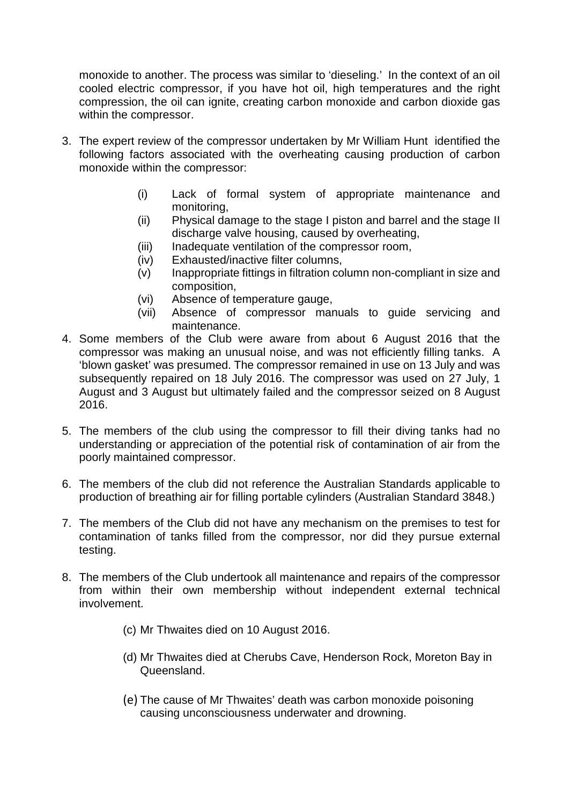monoxide to another. The process was similar to 'dieseling.' In the context of an oil cooled electric compressor, if you have hot oil, high temperatures and the right compression, the oil can ignite, creating carbon monoxide and carbon dioxide gas within the compressor.

- 3. The expert review of the compressor undertaken by Mr William Hunt identified the following factors associated with the overheating causing production of carbon monoxide within the compressor:
	- (i) Lack of formal system of appropriate maintenance and monitoring,
	- (ii) Physical damage to the stage I piston and barrel and the stage II discharge valve housing, caused by overheating,
	- (iii) Inadequate ventilation of the compressor room.
	- (iv) Exhausted/inactive filter columns,
	- (v) Inappropriate fittings in filtration column non-compliant in size and composition,
	- (vi) Absence of temperature gauge,
	- (vii) Absence of compressor manuals to guide servicing and maintenance.
- 4. Some members of the Club were aware from about 6 August 2016 that the compressor was making an unusual noise, and was not efficiently filling tanks. A 'blown gasket' was presumed. The compressor remained in use on 13 July and was subsequently repaired on 18 July 2016. The compressor was used on 27 July, 1 August and 3 August but ultimately failed and the compressor seized on 8 August 2016.
- 5. The members of the club using the compressor to fill their diving tanks had no understanding or appreciation of the potential risk of contamination of air from the poorly maintained compressor.
- 6. The members of the club did not reference the Australian Standards applicable to production of breathing air for filling portable cylinders (Australian Standard 3848.)
- 7. The members of the Club did not have any mechanism on the premises to test for contamination of tanks filled from the compressor, nor did they pursue external testing.
- 8. The members of the Club undertook all maintenance and repairs of the compressor from within their own membership without independent external technical involvement.
	- (c) Mr Thwaites died on 10 August 2016.
	- (d) Mr Thwaites died at Cherubs Cave, Henderson Rock, Moreton Bay in Queensland.
	- (e) The cause of Mr Thwaites' death was carbon monoxide poisoning causing unconsciousness underwater and drowning.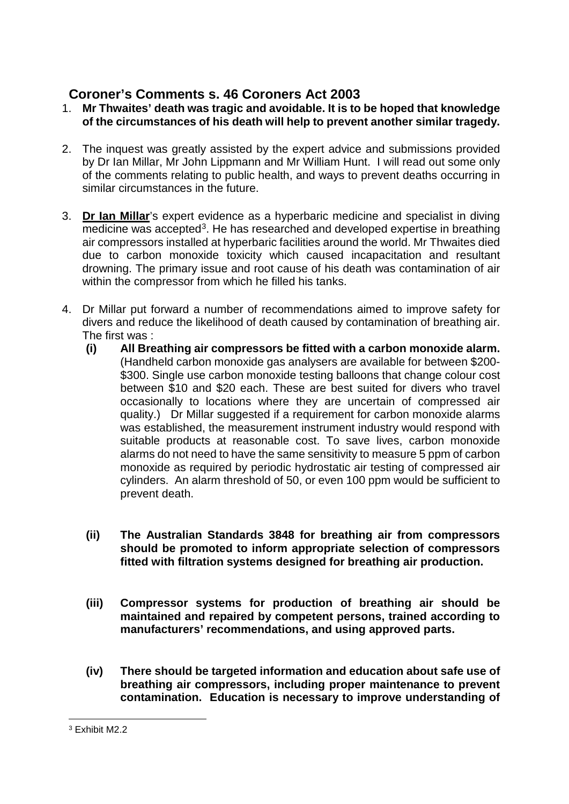## **Coroner's Comments s. 46 Coroners Act 2003**

- 1. **Mr Thwaites' death was tragic and avoidable. It is to be hoped that knowledge of the circumstances of his death will help to prevent another similar tragedy.**
- 2. The inquest was greatly assisted by the expert advice and submissions provided by Dr Ian Millar, Mr John Lippmann and Mr William Hunt. I will read out some only of the comments relating to public health, and ways to prevent deaths occurring in similar circumstances in the future.
- 3. **Dr Ian Millar**'s expert evidence as a hyperbaric medicine and specialist in diving medicine was accepted<sup>3</sup>. He has researched and developed expertise in breathing air compressors installed at hyperbaric facilities around the world. Mr Thwaites died due to carbon monoxide toxicity which caused incapacitation and resultant drowning. The primary issue and root cause of his death was contamination of air within the compressor from which he filled his tanks.
- 4. Dr Millar put forward a number of recommendations aimed to improve safety for divers and reduce the likelihood of death caused by contamination of breathing air. The first was :
	- **(i) All Breathing air compressors be fitted with a carbon monoxide alarm.**  (Handheld carbon monoxide gas analysers are available for between \$200- \$300. Single use carbon monoxide testing balloons that change colour cost between \$10 and \$20 each. These are best suited for divers who travel occasionally to locations where they are uncertain of compressed air quality.) Dr Millar suggested if a requirement for carbon monoxide alarms was established, the measurement instrument industry would respond with suitable products at reasonable cost. To save lives, carbon monoxide alarms do not need to have the same sensitivity to measure 5 ppm of carbon monoxide as required by periodic hydrostatic air testing of compressed air cylinders. An alarm threshold of 50, or even 100 ppm would be sufficient to prevent death.
	- **(ii) The Australian Standards 3848 for breathing air from compressors should be promoted to inform appropriate selection of compressors fitted with filtration systems designed for breathing air production.**
	- **(iii) Compressor systems for production of breathing air should be maintained and repaired by competent persons, trained according to manufacturers' recommendations, and using approved parts.**
	- **(iv) There should be targeted information and education about safe use of breathing air compressors, including proper maintenance to prevent contamination. Education is necessary to improve understanding of**

<span id="page-3-0"></span><sup>3</sup> Exhibit M2.2 **.**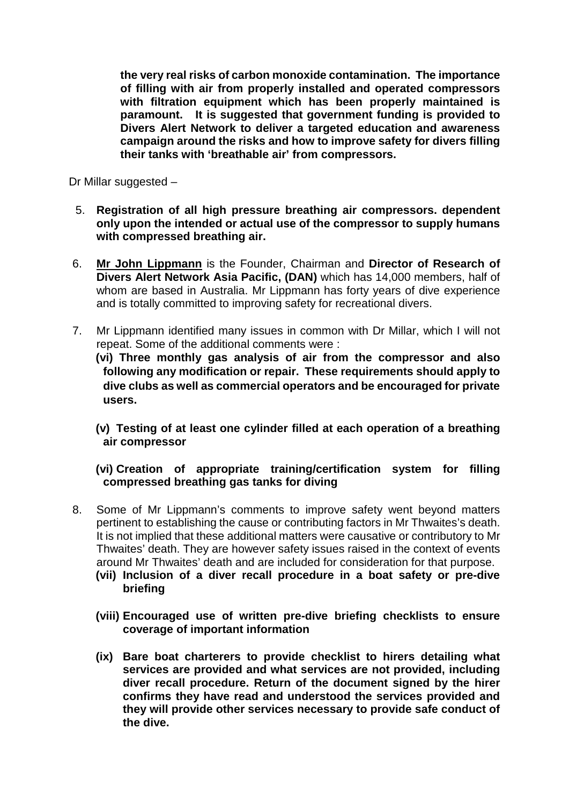**the very real risks of carbon monoxide contamination. The importance of filling with air from properly installed and operated compressors with filtration equipment which has been properly maintained is paramount. It is suggested that government funding is provided to Divers Alert Network to deliver a targeted education and awareness campaign around the risks and how to improve safety for divers filling their tanks with 'breathable air' from compressors.**

Dr Millar suggested –

- 5. **Registration of all high pressure breathing air compressors. dependent only upon the intended or actual use of the compressor to supply humans with compressed breathing air.**
- 6. **Mr John Lippmann** is the Founder, Chairman and **Director of Research of Divers Alert Network Asia Pacific, (DAN)** which has 14,000 members, half of whom are based in Australia. Mr Lippmann has forty years of dive experience and is totally committed to improving safety for recreational divers.
- 7. Mr Lippmann identified many issues in common with Dr Millar, which I will not repeat. Some of the additional comments were : **(vi) Three monthly gas analysis of air from the compressor and also following any modification or repair. These requirements should apply to dive clubs as well as commercial operators and be encouraged for private users.**
	- **(v) Testing of at least one cylinder filled at each operation of a breathing air compressor**

## **(vi) Creation of appropriate training/certification system for filling compressed breathing gas tanks for diving**

- 8. Some of Mr Lippmann's comments to improve safety went beyond matters pertinent to establishing the cause or contributing factors in Mr Thwaites's death. It is not implied that these additional matters were causative or contributory to Mr Thwaites' death. They are however safety issues raised in the context of events around Mr Thwaites' death and are included for consideration for that purpose.
	- **(vii) Inclusion of a diver recall procedure in a boat safety or pre-dive briefing**
	- **(viii) Encouraged use of written pre-dive briefing checklists to ensure coverage of important information**
	- **(ix) Bare boat charterers to provide checklist to hirers detailing what services are provided and what services are not provided, including diver recall procedure. Return of the document signed by the hirer confirms they have read and understood the services provided and they will provide other services necessary to provide safe conduct of the dive.**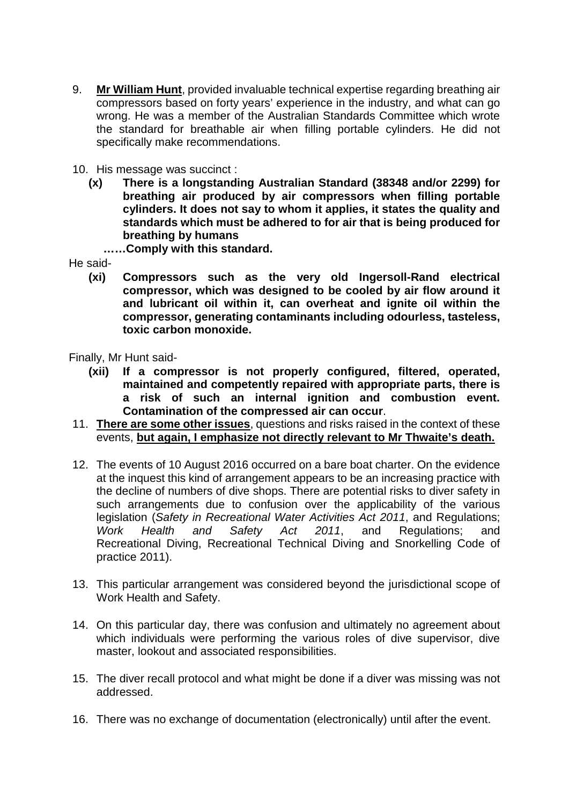- 9. **Mr William Hunt**, provided invaluable technical expertise regarding breathing air compressors based on forty years' experience in the industry, and what can go wrong. He was a member of the Australian Standards Committee which wrote the standard for breathable air when filling portable cylinders. He did not specifically make recommendations.
- 10. His message was succinct :
	- **(x) There is a longstanding Australian Standard (38348 and/or 2299) for breathing air produced by air compressors when filling portable cylinders. It does not say to whom it applies, it states the quality and standards which must be adhered to for air that is being produced for breathing by humans**
		- **……Comply with this standard.**
- He said-
	- **(xi) Compressors such as the very old Ingersoll-Rand electrical compressor, which was designed to be cooled by air flow around it and lubricant oil within it, can overheat and ignite oil within the compressor, generating contaminants including odourless, tasteless, toxic carbon monoxide.**

Finally, Mr Hunt said-

- **(xii) If a compressor is not properly configured, filtered, operated, maintained and competently repaired with appropriate parts, there is a risk of such an internal ignition and combustion event. Contamination of the compressed air can occur**.
- 11. **There are some other issues**, questions and risks raised in the context of these events, **but again, I emphasize not directly relevant to Mr Thwaite's death.**
- 12. The events of 10 August 2016 occurred on a bare boat charter. On the evidence at the inquest this kind of arrangement appears to be an increasing practice with the decline of numbers of dive shops. There are potential risks to diver safety in such arrangements due to confusion over the applicability of the various legislation (*Safety in Recreational Water Activities Act 2011*, and Regulations; *Work Health and Safety Act 2011*, and Regulations; and Recreational Diving, Recreational Technical Diving and Snorkelling Code of practice 2011).
- 13. This particular arrangement was considered beyond the jurisdictional scope of Work Health and Safety.
- 14. On this particular day, there was confusion and ultimately no agreement about which individuals were performing the various roles of dive supervisor, dive master, lookout and associated responsibilities.
- 15. The diver recall protocol and what might be done if a diver was missing was not addressed.
- 16. There was no exchange of documentation (electronically) until after the event.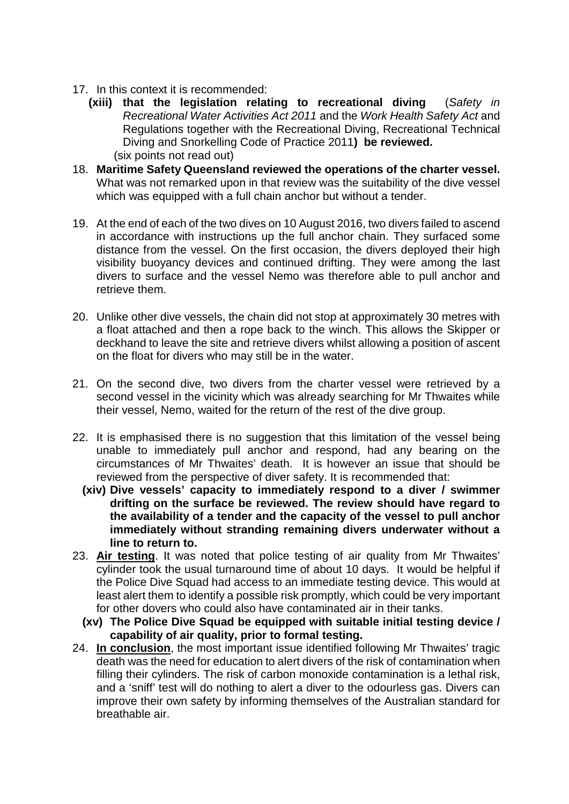- 17. In this context it is recommended:
	- **(xiii) that the legislation relating to recreational diving** (*Safety in Recreational Water Activities Act 2011* and the *Work Health Safety Act* and Regulations together with the Recreational Diving, Recreational Technical Diving and Snorkelling Code of Practice 2011**) be reviewed.** (six points not read out)
- 18. **Maritime Safety Queensland reviewed the operations of the charter vessel.**  What was not remarked upon in that review was the suitability of the dive vessel which was equipped with a full chain anchor but without a tender.
- 19. At the end of each of the two dives on 10 August 2016, two divers failed to ascend in accordance with instructions up the full anchor chain. They surfaced some distance from the vessel. On the first occasion, the divers deployed their high visibility buoyancy devices and continued drifting. They were among the last divers to surface and the vessel Nemo was therefore able to pull anchor and retrieve them.
- 20. Unlike other dive vessels, the chain did not stop at approximately 30 metres with a float attached and then a rope back to the winch. This allows the Skipper or deckhand to leave the site and retrieve divers whilst allowing a position of ascent on the float for divers who may still be in the water.
- 21. On the second dive, two divers from the charter vessel were retrieved by a second vessel in the vicinity which was already searching for Mr Thwaites while their vessel, Nemo, waited for the return of the rest of the dive group.
- 22. It is emphasised there is no suggestion that this limitation of the vessel being unable to immediately pull anchor and respond, had any bearing on the circumstances of Mr Thwaites' death. It is however an issue that should be reviewed from the perspective of diver safety. It is recommended that:
	- **(xiv) Dive vessels' capacity to immediately respond to a diver / swimmer drifting on the surface be reviewed. The review should have regard to the availability of a tender and the capacity of the vessel to pull anchor immediately without stranding remaining divers underwater without a line to return to.**
- 23. **Air testing**. It was noted that police testing of air quality from Mr Thwaites' cylinder took the usual turnaround time of about 10 days. It would be helpful if the Police Dive Squad had access to an immediate testing device. This would at least alert them to identify a possible risk promptly, which could be very important for other dovers who could also have contaminated air in their tanks.
	- **(xv) The Police Dive Squad be equipped with suitable initial testing device / capability of air quality, prior to formal testing.**
- 24. **In conclusion**, the most important issue identified following Mr Thwaites' tragic death was the need for education to alert divers of the risk of contamination when filling their cylinders. The risk of carbon monoxide contamination is a lethal risk, and a 'sniff' test will do nothing to alert a diver to the odourless gas. Divers can improve their own safety by informing themselves of the Australian standard for breathable air.